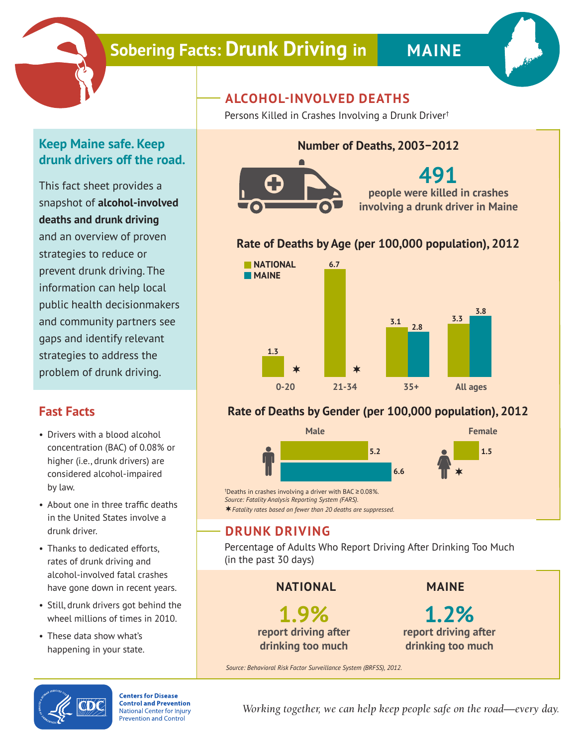

# **Sobering Facts: Drunk Driving in MAINE**

### **Keep Maine safe. Keep drunk drivers off the road.**

This fact sheet provides a snapshot of **alcohol-involved deaths and drunk driving** and an overview of proven strategies to reduce or prevent drunk driving. The information can help local public health decisionmakers and community partners see gaps and identify relevant strategies to address the problem of drunk driving.

## **Fast Facts**

- Drivers with a blood alcohol concentration (BAC) of 0.08% or higher (i.e., drunk drivers) are considered alcohol-impaired by law.
- About one in three traffic deaths in the United States involve a drunk driver.
- Thanks to dedicated efforts, rates of drunk driving and alcohol-involved fatal crashes have gone down in recent years.
- Still, drunk drivers got behind the wheel millions of times in 2010.
- These data show what's happening in your state.

## **ALCOHOL-INVOLVED DEATHS**

Persons Killed in Crashes Involving a Drunk Driver†

#### **Number of Deaths, 2003−2012**



# **491**

**people were killed in crashes involving a drunk driver in Maine**

#### **Rate of Deaths by Age (per 100,000 population), 2012**



#### **Rate of Deaths by Gender (per 100,000 population), 2012**



† Deaths in crashes involving a driver with BAC ≥ 0.08%. *Source: Fatality Analysis Reporting System (FARS). Fatality rates based on fewer than 20 deaths are suppressed.*

### **DRUNK DRIVING**

Percentage of Adults Who Report Driving After Drinking Too Much (in the past 30 days)

**NATIONAL**

**1.9% report driving after drinking too much**

**MAINE**

**1.2% report driving after drinking too much**

*Source: Behavioral Risk Factor Surveillance System (BRFSS), 2012.*



**Centers for Disease Control and Prevention National Center for Injury Prevention and Control** 

*Working together, we can help keep people safe on the road—every day.*